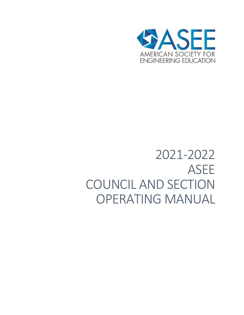

# 2021-2022 ASEE COUNCIL AND SECTION OPERATING MANUAL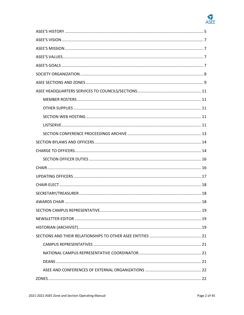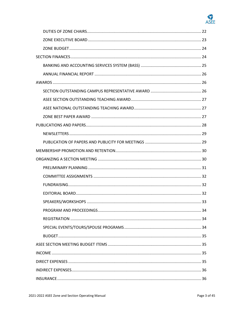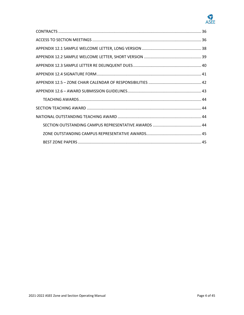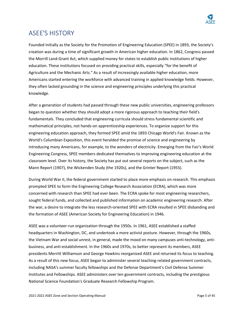

# ASEE'S HISTORY

Founded initially as the Society for the Promotion of Engineering Education (SPEE) in 1893, the Society's creation was during a time of significant growth in American higher education. In 1862, Congress passed the Morrill Land-Grant Act, which supplied money for states to establish public institutions of higher education. These institutions focused on providing practical skills, especially "for the benefit of Agriculture and the Mechanic Arts." As a result of increasingly available higher education, more Americans started entering the workforce with advanced training in applied knowledge fields. However, they often lacked grounding in the science and engineering principles underlying this practical knowledge.

After a generation of students had passed through these new public universities, engineering professors began to question whether they should adopt a more rigorous approach to teaching their field's fundamentals. They concluded that engineering curricula should stress fundamental scientific and mathematical principles, not hands-on apprenticeship experiences. To organize support for this engineering education approach, they formed SPEE amid the 1893 Chicago World's Fair. Known as the World's Columbian Exposition, this event heralded the promise of science and engineering by introducing many Americans, for example, to the wonders of electricity. Emerging from the Fair's World Engineering Congress, SPEE members dedicated themselves to improving engineering education at the classroom level. Over its history, the Society has put out several reports on the subject, such as the Mann Report (1907), the Wickenden Study (the 1920s), and the Grinter Report (1955).

During World War II, the federal government started to place more emphasis on research. This emphasis prompted SPEE to form the Engineering College Research Association (ECRA), which was more concerned with research than SPEE had ever been. The ECRA spoke for most engineering researchers, sought federal funds, and collected and published information on academic engineering research. After the war, a desire to integrate the less research-oriented SPEE with ECRA resulted in SPEE disbanding and the formation of ASEE (American Society for Engineering Education) in 1946.

ASEE was a volunteer-run organization through the 1950s. In 1961, ASEE established a staffed headquarters in Washington, DC, and undertook a more activist posture. However, through the 1960s, the Vietnam War and social unrest, in general, made the mood on many campuses anti-technology, antibusiness, and anti-establishment. In the 1960s and 1970s, to better represent its members, ASEE presidents Merritt Williamson and George Hawkins reorganized ASEE and returned its focus to teaching. As a result of this new focus, ASEE began to administer several teaching-related government contracts, including NASA's summer faculty fellowships and the Defense Department's Civil Defense Summer Institutes and Fellowships. ASEE administers over ten government contracts, including the prestigious National Science Foundation's Graduate Research Fellowship Program.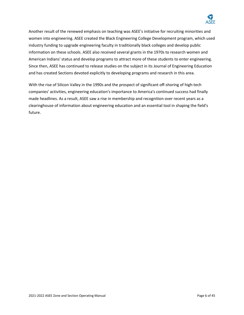

Another result of the renewed emphasis on teaching was ASEE's initiative for recruiting minorities and women into engineering. ASEE created the Black Engineering College Development program, which used industry funding to upgrade engineering faculty in traditionally black colleges and develop public information on these schools. ASEE also received several grants in the 1970s to research women and American Indians' status and develop programs to attract more of these students to enter engineering. Since then, ASEE has continued to release studies on the subject in its Journal of Engineering Education and has created Sections devoted explicitly to developing programs and research in this area.

With the rise of Silicon Valley in the 1990s and the prospect of significant off-shoring of high-tech companies' activities, engineering education's importance to America's continued success had finally made headlines. As a result, ASEE saw a rise in membership and recognition over recent years as a clearinghouse of information about engineering education and an essential tool in shaping the field's future.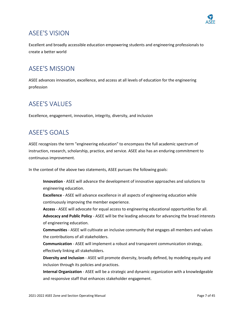

# ASEE'S VISION

Excellent and broadly accessible education empowering students and engineering professionals to create a better world

# ASEE'S MISSION

ASEE advances innovation, excellence, and access at all levels of education for the engineering profession

# ASEE'S VALUES

Excellence, engagement, innovation, integrity, diversity, and inclusion

# ASEE'S GOALS

ASEE recognizes the term "engineering education" to encompass the full academic spectrum of instruction, research, scholarship, practice, and service. ASEE also has an enduring commitment to continuous improvement.

In the context of the above two statements, ASEE pursues the following goals:

**Innovation** - ASEE will advance the development of innovative approaches and solutions to engineering education.

**Excellence** - ASEE will advance excellence in all aspects of engineering education while continuously improving the member experience.

**Access** - ASEE will advocate for equal access to engineering educational opportunities for all. **Advocacy and Public Policy** - ASEE will be the leading advocate for advancing the broad interests of engineering education.

**Communities** - ASEE will cultivate an inclusive community that engages all members and values the contributions of all stakeholders.

**Communication** - ASEE will implement a robust and transparent communication strategy, effectively linking all stakeholders.

**Diversity and Inclusion** - ASEE will promote diversity, broadly defined, by modeling equity and inclusion through its policies and practices.

**Internal Organization** - ASEE will be a strategic and dynamic organization with a knowledgeable and responsive staff that enhances stakeholder engagement.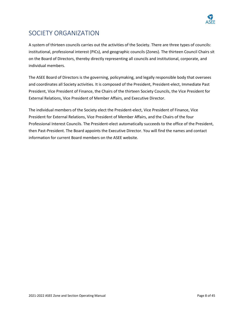

# SOCIETY ORGANIZATION

A system of thirteen councils carries out the activities of the Society. There are three types of councils: institutional, professional interest (PICs), and geographic councils (Zones). The thirteen Council Chairs sit on the Board of Directors, thereby directly representing all councils and institutional, corporate, and individual members.

The ASEE Board of Directors is the governing, policymaking, and legally responsible body that oversees and coordinates all Society activities. It is composed of the President, President-elect, Immediate Past President, Vice President of Finance, the Chairs of the thirteen Society Councils, the Vice President for External Relations, Vice President of Member Affairs, and Executive Director.

The individual members of the Society elect the President-elect, Vice President of Finance, Vice President for External Relations, Vice President of Member Affairs, and the Chairs of the four Professional Interest Councils. The President-elect automatically succeeds to the office of the President, then Past-President. The Board appoints the Executive Director. You will find the names and contact information for current Board members on the ASEE website.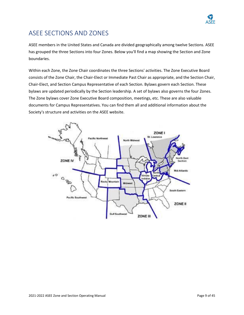

# ASEE SECTIONS AND ZONES

ASEE members in the United States and Canada are divided geographically among twelve Sections. ASEE has grouped the three Sections into four Zones. Below you'll find a map showing the Section and Zone boundaries.

Within each Zone, the Zone Chair coordinates the three Sections' activities. The Zone Executive Board consists of the Zone Chair, the Chair-Elect or Immediate Past Chair as appropriate, and the Section Chair, Chair-Elect, and Section Campus Representative of each Section. Bylaws govern each Section. These bylaws are updated periodically by the Section leadership. A set of bylaws also governs the four Zones. The Zone bylaws cover Zone Executive Board composition, meetings, etc. These are also valuable documents for Campus Representatives. You can find them all and additional information about the Society's structure and activities on the ASEE website.

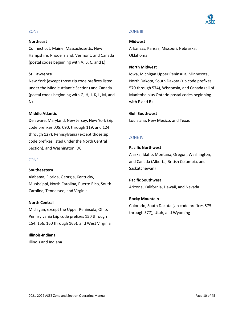

#### ZONE I

#### **Northeast**

Connecticut, Maine, Massachusetts, New Hampshire, Rhode Island, Vermont, and Canada (postal codes beginning with A, B, C, and E)

#### **St. Lawrence**

New York (except those zip code prefixes listed under the Middle Atlantic Section) and Canada (postal codes beginning with G, H, J, K, L, M, and N)

#### **Middle Atlantic**

Delaware, Maryland, New Jersey, New York (zip code prefixes 005, 090, through 119, and 124 through 127), Pennsylvania (except those zip code prefixes listed under the North Central Section), and Washington, DC

#### ZONE II

#### **Southeastern**

Alabama, Florida, Georgia, Kentucky, Mississippi, North Carolina, Puerto Rico, South Carolina, Tennessee, and Virginia

#### **North Central**

Michigan, except the Upper Peninsula, Ohio, Pennsylvania (zip code prefixes 150 through 154, 156, 160 through 165), and West Virginia

#### **Illinois-Indiana**

Illinois and Indiana

#### ZONE III

#### **Midwest**

Arkansas, Kansas, Missouri, Nebraska, Oklahoma

#### **North Midwest**

Iowa, Michigan Upper Peninsula, Minnesota, North Dakota, South Dakota (zip code prefixes 570 through 574), Wisconsin, and Canada (all of Manitoba plus Ontario postal codes beginning with P and R)

#### **Gulf Southwest**

Louisiana, New Mexico, and Texas

#### ZONE IV

#### **Pacific Northwest**

Alaska, Idaho, Montana, Oregon, Washington, and Canada (Alberta, British Columbia, and Saskatchewan)

**Pacific Southwest** Arizona, California, Hawaii, and Nevada

#### **Rocky Mountain**

Colorado, South Dakota (zip code prefixes 575 through 577), Utah, and Wyoming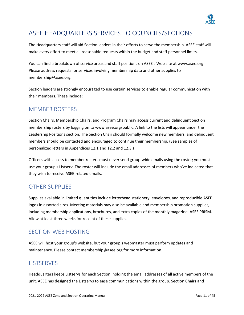

# ASEE HEADQUARTERS SERVICES TO COUNCILS/SECTIONS

The Headquarters staff will aid Section leaders in their efforts to serve the membership. ASEE staff will make every effort to meet all reasonable requests within the budget and staff personnel limits.

You can find a breakdown of service areas and staff positions on ASEE's Web site at www.asee.org. Please address requests for services involving membership data and other supplies to [membership@asee.org.](mailto:membership@asee.org)

Section leaders are strongly encouraged to use certain services to enable regular communication with their members. These include:

### MEMBER ROSTERS

Section Chairs, Membership Chairs, and Program Chairs may access current and delinquent Section membership rosters by logging on t[o www.asee.org/public.](http://www.asee.org/public) A link to the lists will appear under the Leadership Positions section. The Section Chair should formally welcome new members, and delinquent members should be contacted and encouraged to continue their membership. (See samples of personalized letters in Appendices [12.1](#page-37-0) and [12.2](#page-38-0) an[d 12.3.](#page-39-0))

Officers with access to member rosters must never send group-wide emails using the roster; you must use your group's Listserv. The roster will include the email addresses of members who've indicated that they wish to receive ASEE-related emails.

### OTHER SUPPLIES

Supplies available in limited quantities include letterhead stationery, envelopes, and reproducible ASEE logos in assorted sizes. Meeting materials may also be available and membership promotion supplies, including membership applications, brochures, and extra copies of the monthly magazine, ASEE PRISM. Allow at least three weeks for receipt of these supplies.

### SECTION WEB HOSTING

ASEE will host your group's website, but your group's webmaster must perform updates and maintenance. Please contact membership@asee.org for more information.

#### **LISTSERVES**

Headquarters keeps Listservs for each Section, holding the email addresses of all active members of the unit. ASEE has designed the Listservs to ease communications within the group. Section Chairs and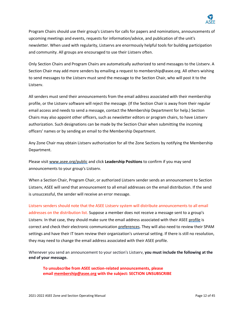

Program Chairs should use their group's Listserv for calls for papers and nominations, announcements of upcoming meetings and events, requests for information/advice, and publication of the unit's newsletter. When used with regularity, Listservs are enormously helpful tools for building participation and community. All groups are encouraged to use their Listserv often.

Only Section Chairs and Program Chairs are automatically authorized to send messages to the Listserv. A Section Chair may add more senders by emailing a request to membership@asee.org. All others wishing to send messages to the Listserv must send the message to the Section Chair, who will post it to the Listserv.

All senders must send their announcements from the email address associated with their membership profile, or the Listserv software will reject the message. (If the Section Chair is away from their regular email access and needs to send a message, contact the Membership Department for help.) Section Chairs may also appoint other officers, such as newsletter editors or program chairs, to have Listserv authorization. Such designations can be made by the Section Chair when submitting the incoming officers' names or by sending an email to the Membership Department.

Any Zone Chair may obtain Listserv authorization for all the Zone Sections by notifying the Membership Department.

Please visi[t www.asee.org/public](http://www.asee.org/public) and click **Leadership Positions** to confirm if you may send announcements to your group's Listserv.

When a Section Chair, Program Chair, or authorized Listserv sender sends an announcement to Section Listserv, ASEE will send that announcement to all email addresses on the email distribution. If the send is unsuccessful, the sender will receive an error message.

Listserv senders should note that the ASEE Listserv system will distribute announcements to all email addresses on the distribution list. Suppose a member does not receive a message sent to a group's Listserv. In that case, they should make sure the email address associated with their ASE[E profile](https://www.asee.org/public/person) is correct and check their electronic communicatio[n preferences.](https://www.asee.org/public/person/edit?section=opt_out) They will also need to review their SPAM settings and have their IT team review their organization's universal setting. If there is still no resolution, they may need to change the email address associated with their ASEE profile.

Whenever you send an announcement to your section's Listserv, **you must include the following at the end of your message.**

**To unsubscribe from ASEE section-related announcements, please email [membership@asee.org](mailto:membership@asee.org) with the subject: SECTION UNSUBSCRIBE**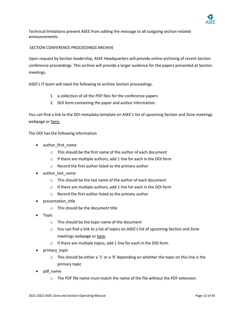

Technical limitations prevent ASEE from adding the message to all outgoing section-related announcements.

#### SECTION CONFERENCE PROCEEDINGS ARCHIVE

Upon request by Section leadership, ASEE Headquarters will provide online archiving of recent Section conference proceedings. This archive will provide a larger audience for the papers presented at Section meetings.

ASEE's IT team will need the following to archive Section proceedings.

- 1. a collection of all the PDF files for the conference papers
- 2. DOI form containing the paper and author information.

You can find a link to the DOI metadata template on ASEE's list of upcoming Section and Zone meetings webpage o[r here.](https://www.asee.org/papers-and-publications/papers/section-proceedings/metadata.xlsx)

The DOI has the following information

- author first name
	- o This should be the first name of the author of each document
	- o If there are multiple authors, add 1 line for each in the DOI form
	- o Record the first author listed as the primary author
- author last name
	- o This should be the last name of the author of each document
	- o If there are multiple authors, add 1 line for each in the DOI form
	- o Record the first author listed as the primary author
- presentation\_title
	- o This should be the document title
- Topic
	- o This should be the topic name of the document
	- o You can find a link to a list of topics on ASEE's list of upcoming Section and Zone meetings webpage or [here.](https://www.asee.org/papers-and-publications/papers/section-proceedings/DOI_Topics.xlsx)
	- o If there are multiple topics, add 1 line for each in the DOI form
- primary\_topic
	- $\circ$  This should be either a '1' or a '0' depending on whether the topic on this line is the primary topic
- pdf\_name
	- $\circ$  The PDF file name must match the name of the file without the PDF extension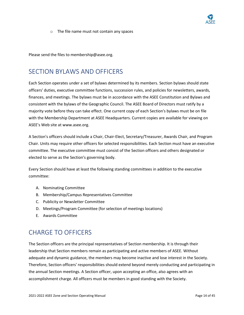

o The file name must not contain any spaces

Please send the files to membership@asee.org.

# SECTION BYLAWS AND OFFICERS

Each Section operates under a set of bylaws determined by its members. Section bylaws should state officers' duties, executive committee functions, succession rules, and policies for newsletters, awards, finances, and meetings. The bylaws must be in accordance with the ASEE Constitution and Bylaws and consistent with the bylaws of the Geographic Council. The ASEE Board of Directors must ratify by a majority vote before they can take effect. One current copy of each Section's bylaws must be on file with the Membership Department at ASEE Headquarters. Current copies are available for viewing on ASEE's Web site at www.asee.org.

A Section's officers should include a Chair, Chair-Elect, Secretary/Treasurer, Awards Chair, and Program Chair. Units may require other officers for selected responsibilities. Each Section must have an executive committee. The executive committee must consist of the Section officers and others designated or elected to serve as the Section's governing body.

Every Section should have at least the following standing committees in addition to the executive committee:

- A. Nominating Committee
- B. Membership/Campus Representatives Committee
- C. Publicity or Newsletter Committee
- D. Meetings/Program Committee (for selection of meetings locations)
- E. Awards Committee

# CHARGE TO OFFICERS

The Section officers are the principal representatives of Section membership. It is through their leadership that Section members remain as participating and active members of ASEE. Without adequate and dynamic guidance, the members may become inactive and lose interest in the Society. Therefore, Section officers' responsibilities should extend beyond merely conducting and participating in the annual Section meetings. A Section officer, upon accepting an office, also agrees with an accomplishment charge. All officers must be members in good standing with the Society.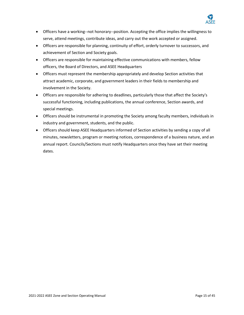

- Officers have a working--not honorary--position. Accepting the office implies the willingness to serve, attend meetings, contribute ideas, and carry out the work accepted or assigned.
- Officers are responsible for planning, continuity of effort, orderly turnover to successors, and achievement of Section and Society goals.
- Officers are responsible for maintaining effective communications with members, fellow officers, the Board of Directors, and ASEE Headquarters
- Officers must represent the membership appropriately and develop Section activities that attract academic, corporate, and government leaders in their fields to membership and involvement in the Society.
- Officers are responsible for adhering to deadlines, particularly those that affect the Society's successful functioning, including publications, the annual conference, Section awards, and special meetings.
- Officers should be instrumental in promoting the Society among faculty members, individuals in industry and government, students, and the public.
- Officers should keep ASEE Headquarters informed of Section activities by sending a copy of all minutes, newsletters, program or meeting notices, correspondence of a business nature, and an annual report. Councils/Sections must notify Headquarters once they have set their meeting dates.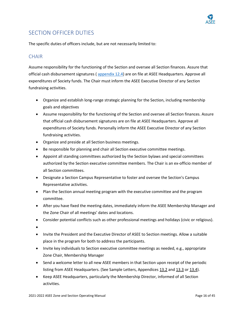

### SECTION OFFICER DUTIES

The specific duties of officers include, but are not necessarily limited to:

#### **CHAIR**

Assume responsibility for the functioning of the Section and oversee all Section finances. Assure that official cash disbursement signatures ( [appendix 12.4\)](#page-40-0) are on file at ASEE Headquarters. Approve all expenditures of Society funds. The Chair must inform the ASEE Executive Director of any Section fundraising activities.

- Organize and establish long-range strategic planning for the Section, including membership goals and objectives
- Assume responsibility for the functioning of the Section and oversee all Section finances. Assure that official cash disbursement signatures are on file at ASEE Headquarters. Approve all expenditures of Society funds. Personally inform the ASEE Executive Director of any Section fundraising activities.
- Organize and preside at all Section business meetings.
- Be responsible for planning and chair all Section executive committee meetings.
- Appoint all standing committees authorized by the Section bylaws and special committees authorized by the Section executive committee members. The Chair is an ex-officio member of all Section committees.
- Designate a Section Campus Representative to foster and oversee the Section's Campus Representative activities.
- Plan the Section annual meeting program with the executive committee and the program committee.
- After you have fixed the meeting dates, immediately inform the ASEE Membership Manager and the Zone Chair of all meetings' dates and locations.
- Consider potential conflicts such as other professional meetings and holidays (civic or religious).
- •
- Invite the President and the Executive Director of ASEE to Section meetings. Allow a suitable place in the program for both to address the participants.
- Invite key individuals to Section executive committee meetings as needed, e.g., appropriate Zone Chair, Membership Manager
- Send a welcome letter to all new ASEE members in that Section upon receipt of the periodic listing from ASEE Headquarters. (See Sample Letters, Appendices 13.2 and 13.3 or 13.4).
- Keep ASEE Headquarters, particularly the Membership Director, informed of all Section activities.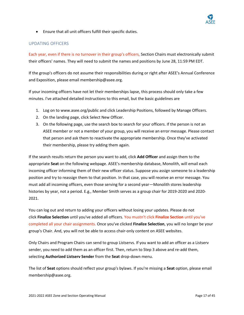

• Ensure that all unit officers fulfill their specific duties.

#### UPDATING OFFICERS

Each year, even if there is no turnover in their group's officers, Section Chairs must electronically submit their officers' names. They will need to submit the names and positions by June 28, 11:59 PM EDT.

If the group's officers do not assume their responsibilities during or right after ASEE's Annual Conference and Exposition, please email membership@asee.org.

If your incoming officers have not let their memberships lapse, this process should only take a few minutes. I've attached detailed instructions to this email, but the basic guidelines are

- 1. Log on to [www.asee.org/public](http://www.asee.org/public) and click Leadership Positions, followed by Manage Officers.
- 2. On the landing page, click Select New Officer.
- 3. On the following page, use the search box to search for your officers. If the person is not an ASEE member or not a member of your group, you will receive an error message. Please contact that person and ask them to reactivate the appropriate membership. Once they've activated their membership, please try adding them again.

If the search results return the person you want to add, click **Add Officer** and assign them to the appropriate **Seat** on the following webpage. ASEE's membership database, Monolith, will email each incoming officer informing them of their new officer status. Suppose you assign someone to a leadership position and try to reassign them to that position. In that case, you will receive an error message. You must add all incoming officers, even those serving for a second year—Monolith stores leadership histories by year, not a period. E.g., Member Smith serves as a group chair for 2019-2020 and 2020- 2021.

You can log out and return to adding your officers without losing your updates. Please do not click **Finalize Selection** until you've added all officers. You mustn't click **Finalize Section** until you've completed all your chair assignments. Once you've clicked **Finalize Selection**, you will no longer be your group's Chair. And, you will not be able to access chair-only content on ASEE websites.

Only Chairs and Program Chairs can send to group Listservs. If you want to add an officer as a Listserv sender, you need to add them as an officer first. Then, return to Step 3 above and re-add them, selecting **Authorized Listserv Sender** from the **Seat** drop-down menu.

The list of **Seat** options should reflect your group's bylaws. If you're missing a **Seat** option, please email membership@asee.org.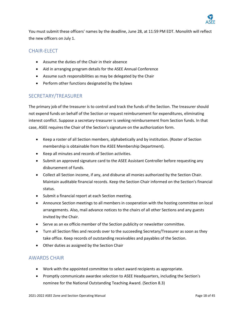

You must submit these officers' names by the deadline, June 28, at 11:59 PM EDT. Monolith will reflect the new officers on July 1.

### CHAIR-ELECT

- Assume the duties of the Chair in their absence
- Aid in arranging program details for the ASEE Annual Conference
- Assume such responsibilities as may be delegated by the Chair
- Perform other functions designated by the bylaws

#### SECRETARY/TREASURER

The primary job of the treasurer is to control and track the funds of the Section. The treasurer should not expend funds on behalf of the Section or request reimbursement for expenditures, eliminating interest conflict. Suppose a secretary-treasurer is seeking reimbursement from Section funds. In that case, ASEE requires the Chair of the Section's signature on the authorization form.

- Keep a roster of all Section members, alphabetically and by institution. (Roster of Section membership is obtainable from the ASEE Membership Department).
- Keep all minutes and records of Section activities.
- Submit an approved signature card to the ASEE Assistant Controller before requesting any disbursement of funds.
- Collect all Section income, if any, and disburse all monies authorized by the Section Chair. Maintain auditable financial records. Keep the Section Chair informed on the Section's financial status.
- Submit a financial report at each Section meeting.
- Announce Section meetings to all members in cooperation with the hosting committee on local arrangements. Also, mail advance notices to the chairs of all other Sections and any guests invited by the Chair.
- Serve as an ex officio member of the Section publicity or newsletter committee.
- Turn all Section files and records over to the succeeding Secretary/Treasurer as soon as they take office. Keep records of outstanding receivables and payables of the Section.
- Other duties as assigned by the Section Chair

#### AWARDS CHAIR

- Work with the appointed committee to select award recipients as appropriate.
- Promptly communicate awardee selection to ASEE Headquarters, including the Section's nominee for the National Outstanding Teaching Award. (Section 8.3)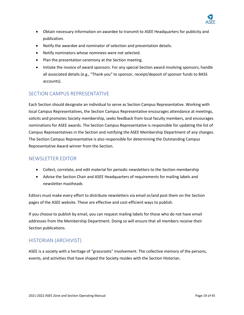

- Obtain necessary information on awardee to transmit to ASEE Headquarters for publicity and publication.
- Notify the awardee and nominator of selection and presentation details.
- Notify nominators whose nominees were not selected.
- Plan the presentation ceremony at the Section meeting.
- Initiate the invoice of award sponsors. For any special Section award involving sponsors, handle all associated details (e.g., "Thank you" to sponsor, receipt/deposit of sponsor funds to BASS accounts).

#### SECTION CAMPUS REPRESENTATIVE

Each Section should designate an individual to serve as Section Campus Representative. Working with local Campus Representatives, the Section Campus Representative encourages attendance at meetings, solicits and promotes Society membership, seeks feedback from local faculty members, and encourages nominations for ASEE awards. The Section Campus Representative is responsible for updating the list of Campus Representatives in the Section and notifying the ASEE Membership Department of any changes. The Section Campus Representative is also responsible for determining the Outstanding Campus Representative Award winner from the Section.

#### NEWSLETTER EDITOR

- Collect, correlate, and edit material for periodic newsletters to the Section membership
- Advise the Section Chair and ASEE Headquarters of requirements for mailing labels and newsletter mastheads

Editors must make every effort to distribute newsletters via email or/and post them on the Section pages of the ASEE website. These are effective and cost-efficient ways to publish.

If you choose to publish by email, you can request mailing labels for those who do not have email addresses from the Membership Department. Doing so will ensure that all members receive their Section publications.

#### HISTORIAN (ARCHIVIST)

ASEE is a society with a heritage of "grassroots" involvement. The collective memory of the persons, events, and activities that have shaped the Society resides with the Section Historian.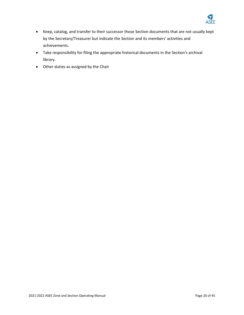

- Keep, catalog, and transfer to their successor those Section documents that are not usually kept by the Secretary/Treasurer but indicate the Section and its members' activities and achievements.
- Take responsibility for filing the appropriate historical documents in the Section's archival library.
- Other duties as assigned by the Chair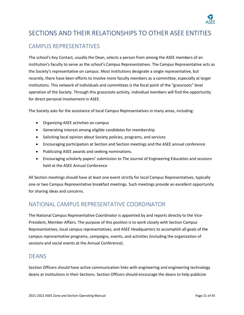

# SECTIONS AND THEIR RELATIONSHIPS TO OTHER ASEE ENTITIES

### CAMPUS REPRESENTATIVES

The school's Key Contact, usually the Dean, selects a person from among the ASEE members of an institution's faculty to serve as the school's Campus Representatives. The Campus Representative acts as the Society's representative on campus. Most institutions designate a single representative, but recently, there have been efforts to involve more faculty members as a committee, especially at larger institutions. This network of individuals and committees is the focal point of the "grassroots" level operation of the Society. Through this grassroots activity, individual members will find the opportunity for direct personal involvement in ASEE.

The Society asks for the assistance of local Campus Representatives in many areas, including:

- Organizing ASEE activities on campus
- Generating interest among eligible candidates for membership
- Soliciting local opinion about Society policies, programs, and services
- Encouraging participation at Section and Section meetings and the ASEE annual conference
- Publicizing ASEE awards and seeking nominations.
- Encouraging scholarly papers' submission to The Journal of Engineering Education and sessions held at the ASEE Annual Conference

All Section meetings should have at least one event strictly for local Campus Representatives, typically one or two Campus Representative breakfast meetings. Such meetings provide an excellent opportunity for sharing ideas and concerns.

### NATIONAL CAMPUS REPRESENTATIVE COORDINATOR

The National Campus Representative Coordinator is appointed by and reports directly to the Vice-President, Member Affairs. The purpose of this position is to work closely with Section Campus Representatives, local campus representatives, and ASEE Headquarters to accomplish all goals of the campus representative programs, campaigns, events, and activities (including the organization of sessions and social events at the Annual Conference).

#### DEANS

Section Officers should have active communication links with engineering and engineering technology deans at institutions in their Sections. Section Officers should encourage the deans to help publicize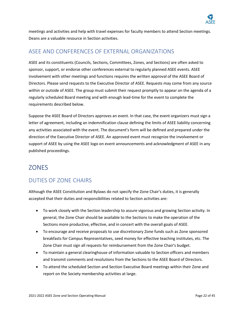

meetings and activities and help with travel expenses for faculty members to attend Section meetings. Deans are a valuable resource in Section activities.

### ASEE AND CONFERENCES OF EXTERNAL ORGANIZATIONS

ASEE and its constituents (Councils, Sections, Committees, Zones, and Sections) are often asked to sponsor, support, or endorse other conferences external to regularly planned ASEE events. ASEE involvement with other meetings and functions requires the written approval of the ASEE Board of Directors. Please send requests to the Executive Director of ASEE. Requests may come from any source within or outside of ASEE. The group must submit their request promptly to appear on the agenda of a regularly scheduled Board meeting and with enough lead-time for the event to complete the requirements described below.

Suppose the ASEE Board of Directors approves an event. In that case, the event organizers must sign a letter of agreement, including an indemnification clause defining the limits of ASEE liability concerning any activities associated with the event. The document's form will be defined and prepared under the direction of the Executive Director of ASEE. An approved event must recognize the involvement or support of ASEE by using the ASEE logo on event announcements and acknowledgment of ASEE in any published proceedings.

### ZONES

### DUTIES OF ZONE CHAIRS

Although the ASEE Constitution and Bylaws do not specify the Zone Chair's duties, it is generally accepted that their duties and responsibilities related to Section activities are:

- To work closely with the Section leadership to assure vigorous and growing Section activity. In general, the Zone Chair should be available to the Sections to make the operation of the Sections more productive, effective, and in concert with the overall goals of ASEE.
- To encourage and receive proposals to use discretionary Zone funds such as Zone sponsored breakfasts for Campus Representatives, seed money for effective teaching institutes, etc. The Zone Chair must sign all requests for reimbursement from the Zone Chair's budget.
- To maintain a general clearinghouse of information valuable to Section officers and members and transmit comments and resolutions from the Sections to the ASEE Board of Directors.
- To attend the scheduled Section and Section Executive Board meetings within their Zone and report on the Society membership activities at large.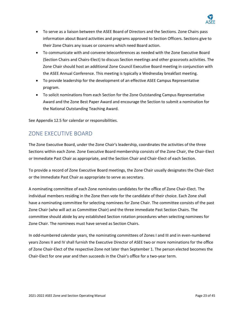

- To serve as a liaison between the ASEE Board of Directors and the Sections. Zone Chairs pass information about Board activities and programs approved to Section Officers. Sections give to their Zone Chairs any issues or concerns which need Board action.
- To communicate with and convene teleconferences as needed with the Zone Executive Board (Section Chairs and Chairs-Elect) to discuss Section meetings and other grassroots activities. The Zone Chair should host an additional Zone Council Executive Board meeting in conjunction with the ASEE Annual Conference. This meeting is typically a Wednesday breakfast meeting.
- To provide leadership for the development of an effective ASEE Campus Representative program.
- To solicit nominations from each Section for the Zone Outstanding Campus Representative Award and the Zone Best Paper Award and encourage the Section to submit a nomination for the National Outstanding Teaching Award.

See Appendix 12.5 for calendar or responsibilities.

### ZONE EXECUTIVE BOARD

The Zone Executive Board, under the Zone Chair's leadership, coordinates the activities of the three Sections within each Zone. Zone Executive Board membership consists of the Zone Chair, the Chair-Elect or Immediate Past Chair as appropriate, and the Section Chair and Chair-Elect of each Section.

To provide a record of Zone Executive Board meetings, the Zone Chair usually designates the Chair-Elect or the Immediate Past Chair as appropriate to serve as secretary.

A nominating committee of each Zone nominates candidates for the office of Zone Chair-Elect. The individual members residing in the Zone then vote for the candidate of their choice. Each Zone shall have a nominating committee for selecting nominees for Zone Chair. The committee consists of the past Zone Chair (who will act as Committee Chair) and the three immediate Past Section Chairs. The committee should abide by any established Section rotation procedures when selecting nominees for Zone Chair. The nominees must have served as Section Chairs.

In odd-numbered calendar years, the nominating committees of Zones I and III and in even-numbered years Zones II and IV shall furnish the Executive Director of ASEE two or more nominations for the office of Zone Chair-Elect of the respective Zone not later than September 1. The person elected becomes the Chair-Elect for one year and then succeeds in the Chair's office for a two-year term.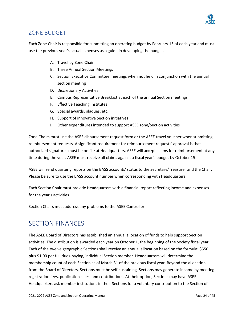

### ZONE BUDGET

Each Zone Chair is responsible for submitting an operating budget by February 15 of each year and must use the previous year's actual expenses as a guide in developing the budget.

- A. Travel by Zone Chair
- B. Three Annual Section Meetings
- C. Section Executive Committee meetings when not held in conjunction with the annual section meeting
- D. Discretionary Activities
- E. Campus Representative Breakfast at each of the annual Section meetings
- F. Effective Teaching Institutes
- G. Special awards, plaques, etc.
- H. Support of innovative Section initiatives
- I. Other expenditures intended to support ASEE zone/Section activities

Zone Chairs must use the ASEE disbursement request form or the ASEE travel voucher when submitting reimbursement requests. A significant requirement for reimbursement requests' approval is that authorized signatures must be on file at Headquarters. ASEE will accept claims for reimbursement at any time during the year. ASEE must receive all claims against a fiscal year's budget by October 15.

ASEE will send quarterly reports on the BASS accounts' status to the Secretary/Treasurer and the Chair. Please be sure to use the BASS account number when corresponding with Headquarters.

Each Section Chair must provide Headquarters with a financial report reflecting income and expenses for the year's activities.

Section Chairs must address any problems to the ASEE Controller.

### SECTION FINANCES

The ASEE Board of Directors has established an annual allocation of funds to help support Section activities. The distribution is awarded each year on October 1, the beginning of the Society fiscal year. Each of the twelve geographic Sections shall receive an annual allocation based on the formula: \$550 plus \$1.00 per full dues-paying, individual Section member. Headquarters will determine the membership count of each Section as of March 31 of the previous fiscal year. Beyond the allocation from the Board of Directors, Sections must be self-sustaining. Sections may generate income by meeting registration fees, publication sales, and contributions. At their option, Sections may have ASEE Headquarters ask member institutions in their Sections for a voluntary contribution to the Section of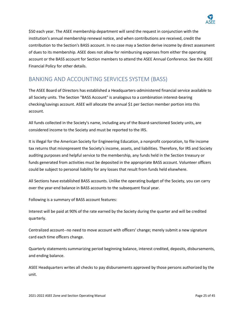

\$50 each year. The ASEE membership department will send the request in conjunction with the institution's annual membership renewal notice, and when contributions are received, credit the contribution to the Section's BASS account. In no case may a Section derive income by direct assessment of dues to its membership. ASEE does not allow for reimbursing expenses from either the operating account or the BASS account for Section members to attend the ASEE Annual Conference. See the ASEE Financial Policy for other details.

### BANKING AND ACCOUNTING SERVICES SYSTEM (BASS)

The ASEE Board of Directors has established a Headquarters-administered financial service available to all Society units. The Section "BASS Account" is analogous to a combination interest-bearing checking/savings account. ASEE will allocate the annual \$1 per Section member portion into this account.

All funds collected in the Society's name, including any of the Board-sanctioned Society units, are considered income to the Society and must be reported to the IRS.

It is illegal for the American Society for Engineering Education, a nonprofit corporation, to file income tax returns that misrepresent the Society's income, assets, and liabilities. Therefore, for IRS and Society auditing purposes and helpful service to the membership, any funds held in the Section treasury or funds generated from activities must be deposited in the appropriate BASS account. Volunteer officers could be subject to personal liability for any losses that result from funds held elsewhere.

All Sections have established BASS accounts. Unlike the operating budget of the Society, you can carry over the year-end balance in BASS accounts to the subsequent fiscal year.

Following is a summary of BASS account features:

Interest will be paid at 90% of the rate earned by the Society during the quarter and will be credited quarterly.

Centralized account--no need to move account with officers' change; merely submit a new signature card each time officers change.

Quarterly statements summarizing period beginning balance, interest credited, deposits, disbursements, and ending balance.

ASEE Headquarters writes all checks to pay disbursements approved by those persons authorized by the unit.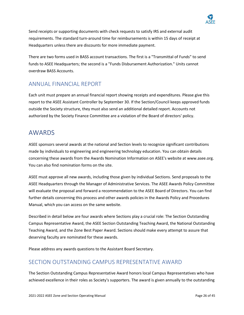

Send receipts or supporting documents with check requests to satisfy IRS and external audit requirements. The standard turn-around time for reimbursements is within 15 days of receipt at Headquarters unless there are discounts for more immediate payment.

There are two forms used in BASS account transactions. The first is a "Transmittal of Funds" to send funds to ASEE Headquarters; the second is a "Funds Disbursement Authorization." Units cannot overdraw BASS Accounts.

### ANNUAL FINANCIAL REPORT

Each unit must prepare an annual financial report showing receipts and expenditures. Please give this report to the ASEE Assistant Controller by September 30. If the Section/Council keeps approved funds outside the Society structure, they must also send an additional detailed report. Accounts not authorized by the Society Finance Committee are a violation of the Board of directors' policy.

# AWARDS

ASEE sponsors several awards at the national and Section levels to recognize significant contributions made by individuals to engineering and engineering technology education. You can obtain details concerning these awards from the Awards Nomination Information on ASEE's website at www.asee.org. You can also find nomination forms on the site.

ASEE must approve all new awards, including those given by individual Sections. Send proposals to the ASEE Headquarters through the Manager of Administrative Services. The ASEE Awards Policy Committee will evaluate the proposal and forward a recommendation to the ASEE Board of Directors. You can find further details concerning this process and other awards policies in the Awards Policy and Procedures Manual, which you can access on the same website.

Described in detail below are four awards where Sections play a crucial role: The Section Outstanding Campus Representative Award, the ASEE Section Outstanding Teaching Award, the National Outstanding Teaching Award, and the Zone Best Paper Award. Sections should make every attempt to assure that deserving faculty are nominated for these awards.

Please address any awards questions to the Assistant Board Secretary.

### SECTION OUTSTANDING CAMPUS REPRESENTATIVE AWARD

The Section Outstanding Campus Representative Award honors local Campus Representatives who have achieved excellence in their roles as Society's supporters. The award is given annually to the outstanding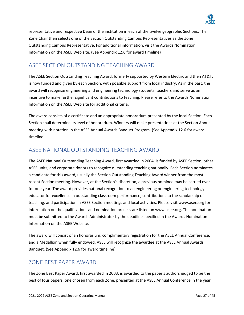

representative and respective Dean of the institution in each of the twelve geographic Sections. The Zone Chair then selects one of the Section Outstanding Campus Representatives as the Zone Outstanding Campus Representative. For additional information, visit the Awards Nomination Information on the ASEE Web site. (See Appendix 12.6 for award timeline)

### ASEE SECTION OUTSTANDING TEACHING AWARD

The ASEE Section Outstanding Teaching Award, formerly supported by Western Electric and then AT&T, is now funded and given by each Section, with possible support from local industry. As in the past, the award will recognize engineering and engineering technology students' teachers and serve as an incentive to make further significant contributions to teaching. Please refer to the Awards Nomination Information on the ASEE Web site for additional criteria.

The award consists of a certificate and an appropriate honorarium presented by the local Section. Each Section shall determine its level of honorarium. Winners will make presentations at the Section Annual meeting with notation in the ASEE Annual Awards Banquet Program. (See Appendix 12.6 for award timeline)

### ASEE NATIONAL OUTSTANDING TEACHING AWARD

The ASEE National Outstanding Teaching Award, first awarded in 2004, is funded by ASEE Section, other ASEE units, and corporate donors to recognize outstanding teaching nationally. Each Section nominates a candidate for this award, usually the Section Outstanding Teaching Award winner from the most recent Section meeting. However, at the Section's discretion, a previous nominee may be carried over for one year. The award provides national recognition to an engineering or engineering technology educator for excellence in outstanding classroom performance, contributions to the scholarship of teaching, and participation in ASEE Section meetings and local activities. Please visit www.asee.org for information on the qualifications and nomination process are listed on www.asee.org. The nomination must be submitted to the Awards Administrator by the deadline specified in the Awards Nomination Information on the ASEE Website.

The award will consist of an honorarium, complimentary registration for the ASEE Annual Conference, and a Medallion when fully endowed. ASEE will recognize the awardee at the ASEE Annual Awards Banquet. (See Appendix 12.6 for award timeline)

### ZONE BEST PAPER AWARD

The Zone Best Paper Award, first awarded in 2003, is awarded to the paper's authors judged to be the best of four papers, one chosen from each Zone, presented at the ASEE Annual Conference in the year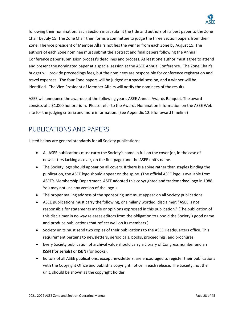

following their nomination. Each Section must submit the title and authors of its best paper to the Zone Chair by July 15. The Zone Chair then forms a committee to judge the three Section papers from their Zone. The vice president of Member Affairs notifies the winner from each Zone by August 15. The authors of each Zone nominee must submit the abstract and final papers following the Annual Conference paper submission process's deadlines and process. At least one author must agree to attend and present the nominated paper at a special session at the ASEE Annual Conference. The Zone Chair's budget will provide proceedings fees, but the nominees are responsible for conference registration and travel expenses. The four Zone papers will be judged at a special session, and a winner will be identified. The Vice-President of Member Affairs will notify the nominees of the results.

ASEE will announce the awardee at the following year's ASEE Annual Awards Banquet. The award consists of a \$1,000 honorarium. Please refer to the Awards Nomination Information on the ASEE Web site for the judging criteria and more information. (See Appendix 12.6 for award timeline)

# PUBLICATIONS AND PAPERS

Listed below are general standards for all Society publications:

- All ASEE publications must carry the Society's name in full on the cover (or, in the case of newsletters lacking a cover, on the first page) and the ASEE unit's name.
- The Society logo should appear on all covers. If there is a spine rather than staples binding the publication, the ASEE logo should appear on the spine. (The official ASEE logo is available from ASEE's Membership Department. ASEE adopted this copyrighted and trademarked logo in 1988. You may not use any version of the logo.)
- The proper mailing address of the sponsoring unit must appear on all Society publications.
- ASEE publications must carry the following, or similarly worded, disclaimer: "ASEE is not responsible for statements made or opinions expressed in this publication." (The publication of this disclaimer in no way releases editors from the obligation to uphold the Society's good name and produce publications that reflect well on its members.)
- Society units must send two copies of their publications to the ASEE Headquarters office. This requirement pertains to newsletters, periodicals, books, proceedings, and brochures.
- Every Society publication of archival value should carry a Library of Congress number and an ISSN (for serials) or ISBN (for books).
- Editors of all ASEE publications, except newsletters, are encouraged to register their publications with the Copyright Office and publish a copyright notice in each release. The Society, not the unit, should be shown as the copyright holder.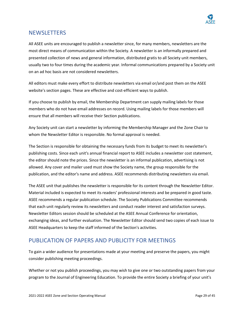

### NEWSLETTERS

All ASEE units are encouraged to publish a newsletter since, for many members, newsletters are the most direct means of communication within the Society. A newsletter is an informally prepared and presented collection of news and general information, distributed gratis to all Society unit members, usually two to four times during the academic year. Informal communications prepared by a Society unit on an ad hoc basis are not considered newsletters.

All editors must make every effort to distribute newsletters via email or/and post them on the ASEE website's section pages. These are effective and cost-efficient ways to publish.

If you choose to publish by email, the Membership Department can supply mailing labels for those members who do not have email addresses on record. Using mailing labels for those members will ensure that all members will receive their Section publications.

Any Society unit can start a newsletter by informing the Membership Manager and the Zone Chair to whom the Newsletter Editor is responsible. No formal approval is needed.

The Section is responsible for obtaining the necessary funds from its budget to meet its newsletter's publishing costs. Since each unit's annual financial report to ASEE includes a newsletter cost statement, the editor should note the prices. Since the newsletter is an informal publication, advertising is not allowed. Any cover and mailer used must show the Society name, the group responsible for the publication, and the editor's name and address. ASEE recommends distributing newsletters via email.

The ASEE unit that publishes the newsletter is responsible for its content through the Newsletter Editor. Material included is expected to meet its readers' professional interests and be prepared in good taste. ASEE recommends a regular publication schedule. The Society Publications Committee recommends that each unit regularly review its newsletters and conduct reader interest and satisfaction surveys. Newsletter Editors session should be scheduled at the ASEE Annual Conference for orientation, exchanging ideas, and further evaluation. The Newsletter Editor should send two copies of each issue to ASEE Headquarters to keep the staff informed of the Section's activities.

### PUBLICATION OF PAPERS AND PUBLICITY FOR MEETINGS

To gain a wider audience for presentations made at your meeting and preserve the papers, you might consider publishing meeting proceedings.

Whether or not you publish proceedings, you may wish to give one or two outstanding papers from your program to the Journal of Engineering Education. To provide the entire Society a briefing of your unit's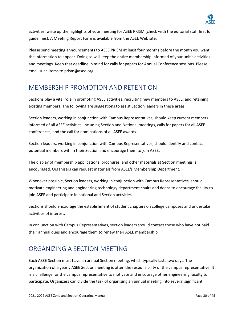

activities, write up the highlights of your meeting for ASEE PRISM (check with the editorial staff first for guidelines). A Meeting Report Form is available from the ASEE Web site.

Please send meeting announcements to ASEE PRISM at least four months before the month you want the information to appear. Doing so will keep the entire membership informed of your unit's activities and meetings. Keep that deadline in mind for calls for papers for Annual Conference sessions. Please email such items to [prism@asee.org.](mailto:prism@asee.org)

## MEMBERSHIP PROMOTION AND RETENTION

Sections play a vital role in promoting ASEE activities, recruiting new members to ASEE, and retaining existing members. The following are suggestions to assist Section leaders in these areas.

Section leaders, working in conjunction with Campus Representatives, should keep current members informed of all ASEE activities, including Section and National meetings, calls for papers for all ASEE conferences, and the call for nominations of all ASEE awards.

Section leaders, working in conjunction with Campus Representatives, should identify and contact potential members within their Section and encourage them to join ASEE.

The display of membership applications, brochures, and other materials at Section meetings is encouraged. Organizers can request materials from ASEE's Membership Department.

Whenever possible, Section leaders, working in conjunction with Campus Representatives, should motivate engineering and engineering technology department chairs and deans to encourage faculty to join ASEE and participate in national and Section activities.

Sections should encourage the establishment of student chapters on college campuses and undertake activities of interest.

In conjunction with Campus Representatives, section leaders should contact those who have not paid their annual dues and encourage them to renew their ASEE membership.

# ORGANIZING A SECTION MEETING

Each ASEE Section must have an annual Section meeting, which typically lasts two days. The organization of a yearly ASEE Section meeting is often the responsibility of the campus representative. It is a challenge for the campus representative to motivate and encourage other engineering faculty to participate. Organizers can divide the task of organizing an annual meeting into several significant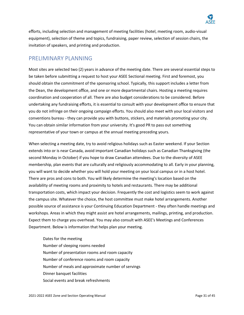

efforts, including selection and management of meeting facilities (hotel, meeting room, audio-visual equipment), selection of theme and topics, fundraising, paper review, selection of session chairs, the invitation of speakers, and printing and production.

### PRELIMINARY PLANNING

Most sites are selected two (2) years in advance of the meeting date. There are several essential steps to be taken before submitting a request to host your ASEE Sectional meeting. First and foremost, you should obtain the commitment of the sponsoring school. Typically, this support includes a letter from the Dean, the development office, and one or more departmental chairs. Hosting a meeting requires coordination and cooperation of all. There are also budget considerations to be considered. Before undertaking any fundraising efforts, it is essential to consult with your development office to ensure that you do not infringe on their ongoing campaign efforts. You should also meet with your local visitors and conventions bureau - they can provide you with buttons, stickers, and materials promoting your city. You can obtain similar information from your university. It's good PR to pass out something representative of your town or campus at the annual meeting preceding yours.

When selecting a meeting date, try to avoid religious holidays such as Easter weekend. If your Section extends into or is near Canada, avoid important Canadian holidays such as Canadian Thanksgiving (the second Monday in October) if you hope to draw Canadian attendees. Due to the diversity of ASEE membership, plan events that are culturally and religiously accommodating to all. Early in your planning, you will want to decide whether you will hold your meeting on your local campus or in a host hotel. There are pros and cons to both. You will likely determine the meeting's location based on the availability of meeting rooms and proximity to hotels and restaurants. There may be additional transportation costs, which impact your decision. Frequently the cost and logistics seem to work against the campus site. Whatever the choice, the host committee must make hotel arrangements. Another possible source of assistance is your Continuing Education Department - they often handle meetings and workshops. Areas in which they might assist are hotel arrangements, mailings, printing, and production. Expect them to charge you overhead. You may also consult with ASEE's Meetings and Conferences Department. Below is information that helps plan your meeting.

Dates for the meeting Number of sleeping rooms needed Number of presentation rooms and room capacity Number of conference rooms and room capacity Number of meals and approximate number of servings Dinner banquet facilities Social events and break refreshments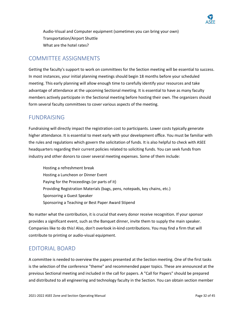

Audio-Visual and Computer equipment (sometimes you can bring your own) Transportation/Airport Shuttle What are the hotel rates?

### COMMITTEE ASSIGNMENTS

Getting the faculty's support to work on committees for the Section meeting will be essential to success. In most instances, your initial planning meetings should begin 18 months before your scheduled meeting. This early planning will allow enough time to carefully identify your resources and take advantage of attendance at the upcoming Sectional meeting. It is essential to have as many faculty members actively participate in the Sectional meeting before hosting their own. The organizers should form several faculty committees to cover various aspects of the meeting.

#### FUNDRAISING

Fundraising will directly impact the registration cost to participants. Lower costs typically generate higher attendance. It is essential to meet early with your development office. You must be familiar with the rules and regulations which govern the solicitation of funds. It is also helpful to check with ASEE headquarters regarding their current policies related to soliciting funds. You can seek funds from industry and other donors to cover several meeting expenses. Some of them include:

Hosting a refreshment break Hosting a Luncheon or Dinner Event Paying for the Proceedings (or parts of it) Providing Registration Materials (bags, pens, notepads, key chains, etc.) Sponsoring a Guest Speaker Sponsoring a Teaching or Best Paper Award Stipend

No matter what the contribution, it is crucial that every donor receive recognition. If your sponsor provides a significant event, such as the Banquet dinner, invite them to supply the main speaker. Companies like to do this! Also, don't overlook in-kind contributions. You may find a firm that will contribute to printing or audio-visual equipment.

#### EDITORIAL BOARD

A committee is needed to overview the papers presented at the Section meeting. One of the first tasks is the selection of the conference "theme" and recommended paper topics. These are announced at the previous Sectional meeting and included in the call for papers. A "Call for Papers" should be prepared and distributed to all engineering and technology faculty in the Section. You can obtain section member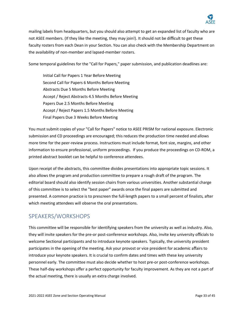

mailing labels from headquarters, but you should also attempt to get an expanded list of faculty who are not ASEE members. (If they like the meeting, they may join!). It should not be difficult to get these faculty rosters from each Dean in your Section. You can also check with the Membership Department on the availability of non-member and lapsed-member rosters.

Some temporal guidelines for the "Call for Papers," paper submission, and publication deadlines are:

Initial Call for Papers 1 Year Before Meeting Second Call for Papers 6 Months Before Meeting Abstracts Due 5 Months Before Meeting Accept / Reject Abstracts 4.5 Months Before Meeting Papers Due 2.5 Months Before Meeting Accept / Reject Papers 1.5 Months Before Meeting Final Papers Due 3 Weeks Before Meeting

You must submit copies of your "Call for Papers" notice to ASEE PRISM for national exposure. Electronic submission and CD proceedings are encouraged; this reduces the production time needed and allows more time for the peer-review process. Instructions must include format, font size, margins, and other information to ensure professional, uniform proceedings. If you produce the proceedings on CD-ROM, a printed abstract booklet can be helpful to conference attendees.

Upon receipt of the abstracts, this committee divides presentations into appropriate topic sessions. It also allows the program and production committee to prepare a rough draft of the program. The editorial board should also identify session chairs from various universities. Another substantial charge of this committee is to select the "best paper" awards once the final papers are submitted and presented. A common practice is to prescreen the full-length papers to a small percent of finalists, after which meeting attendees will observe the oral presentations.

### SPEAKERS/WORKSHOPS

This committee will be responsible for identifying speakers from the university as well as industry. Also, they will invite speakers for the pre-or post-conference workshops. Also, invite key university officials to welcome Sectional participants and to introduce keynote speakers. Typically, the university president participates in the opening of the meeting. Ask your provost or vice president for academic affairs to introduce your keynote speakers. It is crucial to confirm dates and times with these key university personnel early. The committee must also decide whether to host pre-or post-conference workshops. These half-day workshops offer a perfect opportunity for faculty improvement. As they are not a part of the actual meeting, there is usually an extra charge involved.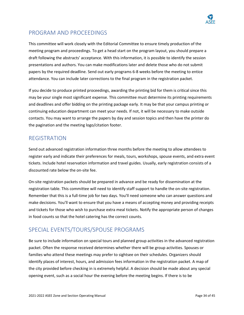

### PROGRAM AND PROCEEDINGS

This committee will work closely with the Editorial Committee to ensure timely production of the meeting program and proceedings. To get a head start on the program layout, you should prepare a draft following the abstracts' acceptance. With this information, it is possible to identify the session presentations and authors. You can make modifications later and delete those who do not submit papers by the required deadline. Send out early programs 6-8 weeks before the meeting to entice attendance. You can include later corrections to the final program in the registration packet.

If you decide to produce printed proceedings, awarding the printing bid for them is critical since this may be your single most significant expense. This committee must determine its printing requirements and deadlines and offer bidding on the printing package early. It may be that your campus printing or continuing education department can meet your needs. If not, it will be necessary to make outside contacts. You may want to arrange the papers by day and session topics and then have the printer do the pagination and the meeting logo/citation footer.

### REGISTRATION

Send out advanced registration information three months before the meeting to allow attendees to register early and indicate their preferences for meals, tours, workshops, spouse events, and extra event tickets. Include hotel reservation information and travel guides. Usually, early registration consists of a discounted rate below the on-site fee.

On-site registration packets should be prepared in advance and be ready for dissemination at the registration table. This committee will need to identify staff support to handle the on-site registration. Remember that this is a full-time job for two days. You'll need someone who can answer questions and make decisions. You'll want to ensure that you have a means of accepting money and providing receipts and tickets for those who wish to purchase extra meal tickets. Notify the appropriate person of changes in food counts so that the hotel catering has the correct counts.

### SPECIAL EVENTS/TOURS/SPOUSE PROGRAMS

Be sure to include information on special tours and planned group activities in the advanced registration packet. Often the response received determines whether there will be group activities. Spouses or families who attend these meetings may prefer to sightsee on their schedules. Organizers should identify places of interest, hours, and admission fees information in the registration packet. A map of the city provided before checking in is extremely helpful. A decision should be made about any special opening event, such as a social hour the evening before the meeting begins. If there is to be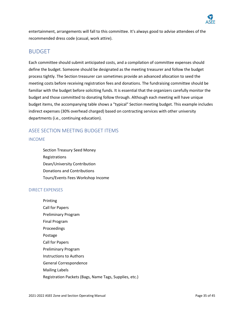

entertainment, arrangements will fall to this committee. It's always good to advise attendees of the recommended dress code (casual, work attire).

#### BUDGET

Each committee should submit anticipated costs, and a compilation of committee expenses should define the budget. Someone should be designated as the meeting treasurer and follow the budget process tightly. The Section treasurer can sometimes provide an advanced allocation to seed the meeting costs before receiving registration fees and donations. The fundraising committee should be familiar with the budget before soliciting funds. It is essential that the organizers carefully monitor the budget and those committed to donating follow through. Although each meeting will have unique budget items, the accompanying table shows a "typical" Section meeting budget. This example includes indirect expenses (30% overhead charged) based on contracting services with other university departments (i.e., continuing education).

#### ASEE SECTION MEETING BUDGET ITEMS

#### INCOME

Section Treasury Seed Money Registrations Dean/University Contribution Donations and Contributions Tours/Events Fees Workshop Income

#### DIRECT EXPENSES

Printing Call for Papers Preliminary Program Final Program Proceedings Postage Call for Papers Preliminary Program Instructions to Authors General Correspondence Mailing Labels Registration Packets (Bags, Name Tags, Supplies, etc.)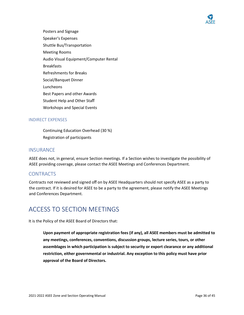

Posters and Signage Speaker's Expenses Shuttle Bus/Transportation Meeting Rooms Audio Visual Equipment/Computer Rental **Breakfasts** Refreshments for Breaks Social/Banquet Dinner Luncheons Best Papers and other Awards Student Help and Other Staff Workshops and Special Events

#### INDIRECT EXPENSES

Continuing Education Overhead (30 %) Registration of participants

#### **INSURANCE**

ASEE does not, in general, ensure Section meetings. If a Section wishes to investigate the possibility of ASEE providing coverage, please contact the ASEE Meetings and Conferences Department.

#### CONTRACTS

Contracts not reviewed and signed off on by ASEE Headquarters should not specify ASEE as a party to the contract. If it is desired for ASEE to be a party to the agreement, please notify the ASEE Meetings and Conferences Department.

# ACCESS TO SECTION MEETINGS

It is the Policy of the ASEE Board of Directors that:

**Upon payment of appropriate registration fees (if any), all ASEE members must be admitted to any meetings, conferences, conventions, discussion groups, lecture series, tours, or other assemblages in which participation is subject to security or export clearance or any additional restriction, either governmental or industrial. Any exception to this policy must have prior approval of the Board of Directors.**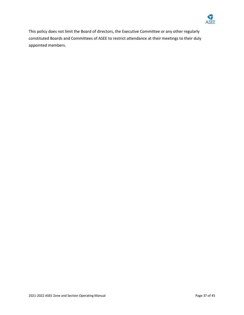

This policy does not limit the Board of directors, the Executive Committee or any other regularly constituted Boards and Committees of ASEE to restrict attendance at their meetings to their duly appointed members.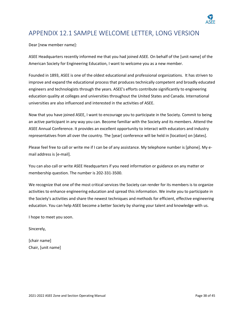

# <span id="page-37-0"></span>APPENDIX 12.1 SAMPLE WELCOME LETTER, LONG VERSION

Dear [new member name]:

ASEE Headquarters recently informed me that you had joined ASEE. On behalf of the [unit name] of the American Society for Engineering Education, I want to welcome you as a new member.

Founded in 1893, ASEE is one of the oldest educational and professional organizations. It has striven to improve and expand the educational process that produces technically competent and broadly educated engineers and technologists through the years. ASEE's efforts contribute significantly to engineering education quality at colleges and universities throughout the United States and Canada. International universities are also influenced and interested in the activities of ASEE.

Now that you have joined ASEE, I want to encourage you to participate in the Society. Commit to being an active participant in any way you can. Become familiar with the Society and its members. Attend the ASEE Annual Conference. It provides an excellent opportunity to interact with educators and industry representatives from all over the country. The [year] conference will be held in [location] on [dates].

Please feel free to call or write me if I can be of any assistance. My telephone number is [phone]. My email address is [e-mail].

You can also call or write ASEE Headquarters if you need information or guidance on any matter or membership question. The number is 202-331-3500.

We recognize that one of the most critical services the Society can render for its members is to organize activities to enhance engineering education and spread this information. We invite you to participate in the Society's activities and share the newest techniques and methods for efficient, effective engineering education. You can help ASEE become a better Society by sharing your talent and knowledge with us.

I hope to meet you soon.

Sincerely,

[chair name] Chair, [unit name]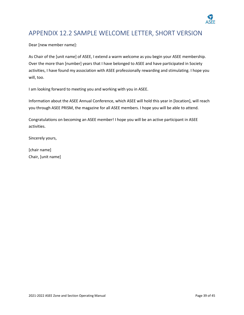

# <span id="page-38-0"></span>APPENDIX 12.2 SAMPLE WELCOME LETTER, SHORT VERSION

Dear [new member name]:

As Chair of the [unit name] of ASEE, I extend a warm welcome as you begin your ASEE membership. Over the more than [number] years that I have belonged to ASEE and have participated in Society activities, I have found my association with ASEE professionally rewarding and stimulating. I hope you will, too.

I am looking forward to meeting you and working with you in ASEE.

Information about the ASEE Annual Conference, which ASEE will hold this year in [location], will reach you through ASEE PRISM, the magazine for all ASEE members. I hope you will be able to attend.

Congratulations on becoming an ASEE member! I hope you will be an active participant in ASEE activities.

Sincerely yours,

[chair name] Chair, [unit name]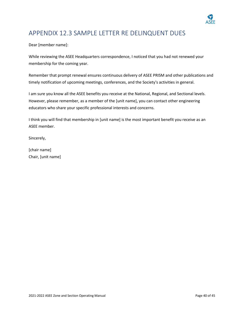

# <span id="page-39-0"></span>APPENDIX 12.3 SAMPLE LETTER RE DELINQUENT DUES

Dear [member name]:

While reviewing the ASEE Headquarters correspondence, I noticed that you had not renewed your membership for the coming year.

Remember that prompt renewal ensures continuous delivery of ASEE PRISM and other publications and timely notification of upcoming meetings, conferences, and the Society's activities in general.

I am sure you know all the ASEE benefits you receive at the National, Regional, and Sectional levels. However, please remember, as a member of the [unit name], you can contact other engineering educators who share your specific professional interests and concerns.

I think you will find that membership in [unit name] is the most important benefit you receive as an ASEE member.

Sincerely,

[chair name] Chair, [unit name]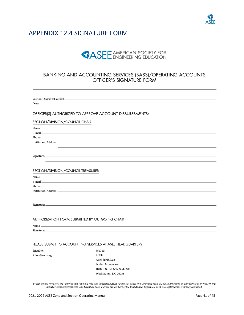

### <span id="page-40-0"></span>APPENDIX 12.4 SIGNATURE FORM

# **SASEE** AMERICAN SOCIETY FOR

# BANKING AND ACCOUNTING SERVICES (BASS)/OPERATING ACCOUNTS<br>OFFICER'S SIGNATURE FORM

Section/Division/Council:

Date:

#### OFFICER(S) AUTHORIZED TO APPROVE ACCOUNT DISBURSEMENTS:

#### SECTION/DIVISION/COUNCIL CHAIR

| Institution/Address: _ |  |
|------------------------|--|
|                        |  |
|                        |  |
| Signature:             |  |
|                        |  |
|                        |  |

#### SECTION/DIVISION/COUNCIL TREASURER

|                                   | $P$ hone: $\Box$ |  |  |
|-----------------------------------|------------------|--|--|
| -------<br>Institution/Address: _ |                  |  |  |
|                                   |                  |  |  |
|                                   |                  |  |  |
| Signature:                        |                  |  |  |
|                                   |                  |  |  |
|                                   |                  |  |  |

#### AUTHORIZATION FORM SUBMITTED BY OUTGOING CHAIR

Name:

Signature: \_

#### PLEASE SUBMIT TO ACCOUNTING SERVICES AT ASEE HEADQUARTERS

Email to: S.Luo@asee.org Mail to: ASEE Attn: Sarah Luo Senior Accountant 1818 N Street NW, Suite 600 Washington, DC 20036

By signing this form, you are verifying that you have read and understood ASEE's Financial Policy and Operating Manual, which are posted on our website at www.asee.org/ member-resources/resources. This Signature Form mirrors the last page of the Unit Annual Report. No need to complete again if already submitted.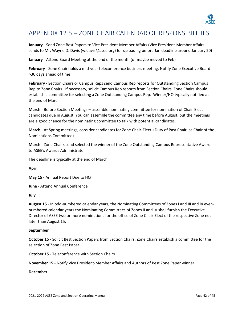

# APPENDIX 12.5 – ZONE CHAIR CALENDAR OF RESPONSIBILITIES

**January** - Send Zone Best Papers to Vice President-Member Affairs (Vice President-Member Affairs sends to Mr. Wayne D. Davis (w.davis@asee.org) for uploading before Jan deadline around January 20)

**January** - Attend Board Meeting at the end of the month (or maybe moved to Feb)

**February** - Zone Chair holds a mid-year teleconference business meeting. Notify Zone Executive Board >30 days ahead of time

**February** - Section Chairs or Campus Reps send Campus Rep reports for Outstanding Section Campus Rep to Zone Chairs. If necessary, solicit Campus Rep reports from Section Chairs. Zone Chairs should establish a committee for selecting a Zone Outstanding Campus Rep. Winner/HQ typically notified at the end of March.

**March** - Before Section Meetings – assemble nominating committee for nomination of Chair-Elect candidates due in August. You can assemble the committee any time before August, but the meetings are a good chance for the nominating committee to talk with potential candidates.

**March** - At Spring meetings, consider candidates for Zone Chair-Elect. (Duty of Past Chair, as Chair of the Nominations Committee)

**March** - Zone Chairs send selected the winner of the Zone Outstanding Campus Representative Award to ASEE's Awards Administrator

The deadline is typically at the end of March.

**April**

**May 15** - Annual Report Due to HQ

**June** - Attend Annual Conference

**July**

**August 15** - In odd-numbered calendar years, the Nominating Committees of Zones I and III and in evennumbered calendar years the Nominating Committees of Zones II and IV shall furnish the Executive Director of ASEE two or more nominations for the office of Zone Chair-Elect of the respective Zone not later than August 15.

#### **September**

**October 15** - Solicit Best Section Papers from Section Chairs. Zone Chairs establish a committee for the selection of Zone Best Paper.

**October 15** - Teleconference with Section Chairs

**November 15** - Notify Vice President-Member Affairs and Authors of Best Zone Paper winner

#### **December**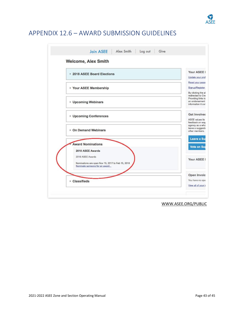

# APPENDIX 12.6 – AWARD SUBMISSION GUIDELINES

| 2018 ASEE Board Elections                                                                              | Your ASEE I<br>Update your prof                                                 |
|--------------------------------------------------------------------------------------------------------|---------------------------------------------------------------------------------|
| Your ASEE Membership                                                                                   | Reset your pass<br>Signup/Register<br>By clicking the al                        |
| <b>Upcoming Webinars</b>                                                                               | redirected to Cre<br>Providing links to<br>an endorsement<br>information it cor |
| Upcoming Conferences                                                                                   | <b>Get Involver</b><br><b>ASEE</b> values its<br>feedback on way                |
| ▶ On Demand Webinars                                                                                   | agency as a who<br>leave a suggestic<br>other members.                          |
| <b>Award Nominations</b><br>2018 ASEE Awards                                                           | Leave a Su<br><b>Vote on Sur</b>                                                |
| 2018 ASEE Awards<br>Nominations are open Nov 15, 2017 to Feb 15, 2018<br>Nominate someone for an award | Your ASEE I                                                                     |
| ▶ Classifieds                                                                                          | Open Invoic<br>You have no ope                                                  |
|                                                                                                        |                                                                                 |

WWW.ASEE.ORG/PUBLIC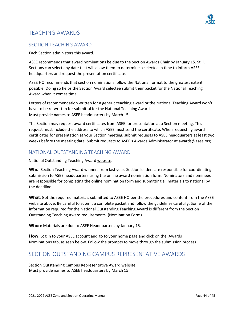

### TEACHING AWARDS

#### SECTION TEACHING AWARD

Each Section administers this award.

ASEE recommends that award nominations be due to the Section Awards Chair by January 15. Still, Sections can select any date that will allow them to determine a selectee in time to inform ASEE headquarters and request the presentation certificate.

ASEE HQ recommends that section nominations follow the National format to the greatest extent possible. Doing so helps the Section Award selectee submit their packet for the National Teaching Award when it comes time.

Letters of recommendation written for a generic teaching award or the National Teaching Award won't have to be re-written for submittal for the National Teaching Award. Must provide names to ASEE headquarters by March 15.

The Section may request award certificates from ASEE for presentation at a Section meeting. This request must include the address to which ASEE must send the certificate. When requesting award certificates for presentation at your Section meeting, submit requests to ASEE headquarters at least two weeks before the meeting date. Submit requests to ASEE's Awards Administrator at awards@asee.org.

#### NATIONAL OUTSTANDING TEACHING AWARD

National Outstanding Teaching Award [website.](http://www.asee.org/member-resources/awards/full-list-ofawards/national-awards/excellence-in-engineeringeducation#National_Outstanding_Teaching_Award)

**Who**: Section Teaching Award winners from last year. Section leaders are responsible for coordinating submission to ASEE headquarters using the online award nomination form. Nominators and nominees are responsible for completing the online nomination form and submitting all materials to national by the deadline.

**What**: Get the required materials submitted to ASEE HQ per the procedures and content from the ASEE website above. Be careful to submit a complete packet and follow the guidelines carefully. Some of the information required for the National Outstanding Teaching Award is different from the Section Outstanding Teaching Award requirements. [\(Nomination Form\)](http://www.asee.org/member-resources/awards/%20guidelines/awardsnomination-guidelines#Nomination%20Form).

**When**: Materials are due to ASEE Headquarters by January 15.

**How**: Log in to your ASEE account and go to your home page and click on the 'Awards Nominations tab, as seen below. Follow the prompts to move through the submission process.

### SECTION OUTSTANDING CAMPUS REPRESENTATIVE AWARDS

Section Outstanding Campus Representative Award [website.](http://www.asee.org/%20memberresources/awards/full-list-of-awards) Must provide names to ASEE headquarters by March 15.